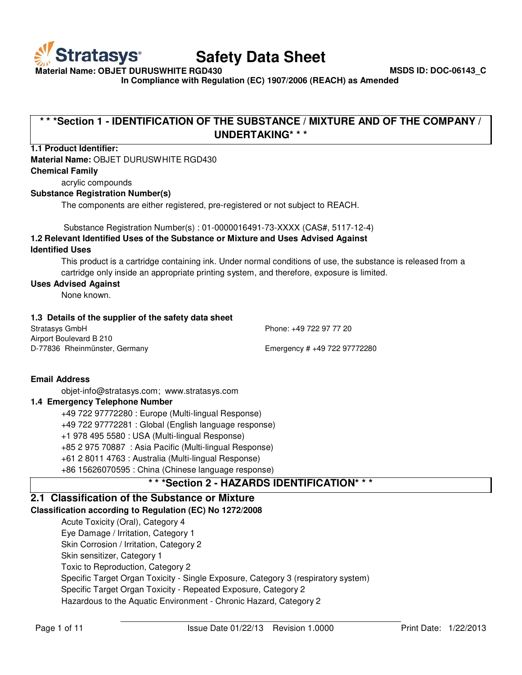

**Material Name: OBJET DURUSWHITE RGD430 MSDS ID: DOC-06143\_C**

**In Compliance with Regulation (EC) 1907/2006 (REACH) as Amended**

# **\* \* \*Section 1 - IDENTIFICATION OF THE SUBSTANCE / MIXTURE AND OF THE COMPANY / UNDERTAKING\* \* \***

# **1.1 Product Identifier:**

# **Material Name:** OBJET DURUSWHITE RGD430

#### **Chemical Family**

acrylic compounds

#### **Substance Registration Number(s)**

The components are either registered, pre-registered or not subject to REACH.

Substance Registration Number(s) : 01-0000016491-73-XXXX (CAS#, 5117-12-4)

# **1.2 Relevant Identified Uses of the Substance or Mixture and Uses Advised Against Identified Uses**

This product is a cartridge containing ink. Under normal conditions of use, the substance is released from a cartridge only inside an appropriate printing system, and therefore, exposure is limited.

#### **Uses Advised Against**

None known.

#### **1.3 Details of the supplier of the safety data sheet**

| Stratasys GmbH                | Phone: +49 722 97 77 20      |
|-------------------------------|------------------------------|
| Airport Boulevard B 210       |                              |
| D-77836 Rheinmünster, Germany | Emergency # +49 722 97772280 |

**Email Address**

[objet-info@stratasys.com](mailto:objet-info@stratasys.com); [www.stratasys.com](http://www.stratasys.com/)

# **1.4 Emergency Telephone Number**

+49 722 97772280 : Europe (Multi-lingual Response) +49 722 97772281 : Global (English language response) +1 978 495 5580 : USA (Multi-lingual Response) +85 2 975 70887 : Asia Pacific (Multi-lingual Response) +61 2 8011 4763 : Australia (Multi-lingual Response) +86 15626070595 : China (Chinese language response)

# **\* \* \*Section 2 - HAZARDS IDENTIFICATION\* \* \***

# **2.1 Classification of the Substance or Mixture**

# **Classification according to Regulation (EC) No 1272/2008**

Acute Toxicity (Oral), Category 4 Eye Damage / Irritation, Category 1 Skin Corrosion / Irritation, Category 2 Skin sensitizer, Category 1 Toxic to Reproduction, Category 2 Specific Target Organ Toxicity - Single Exposure, Category 3 (respiratory system) Specific Target Organ Toxicity - Repeated Exposure, Category 2 Hazardous to the Aquatic Environment - Chronic Hazard, Category 2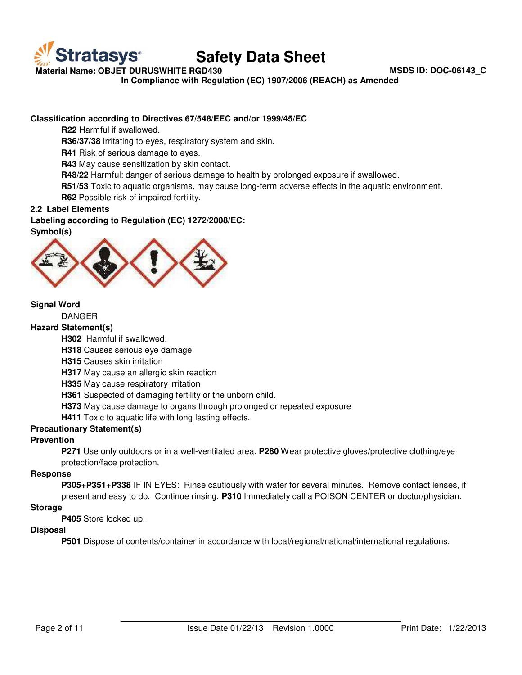

**Material Name: OBJET DURUSWHITE RGD430 MSDS ID: DOC-06143\_C**

**In Compliance with Regulation (EC) 1907/2006 (REACH) as Amended**

# **Classification according to Directives 67/548/EEC and/or 1999/45/EC**

**R22** Harmful if swallowed.

**R36/37/38** Irritating to eyes, respiratory system and skin.

**R41** Risk of serious damage to eyes.

**R43** May cause sensitization by skin contact.

**R48/22** Harmful: danger of serious damage to health by prolonged exposure if swallowed.

**R51/53** Toxic to aquatic organisms, may cause long-term adverse effects in the aquatic environment. **R62** Possible risk of impaired fertility.

**2.2 Label Elements**

**Labeling according to Regulation (EC) 1272/2008/EC:** 

**Symbol(s)**



# **Signal Word**

DANGER

#### **Hazard Statement(s)**

**H302** Harmful if swallowed.

**H318** Causes serious eye damage

**H315** Causes skin irritation

**H317** May cause an allergic skin reaction

**H335** May cause respiratory irritation

**H361** Suspected of damaging fertility or the unborn child.

**H373** May cause damage to organs through prolonged or repeated exposure

**H411** Toxic to aquatic life with long lasting effects.

# **Precautionary Statement(s)**

#### **Prevention**

**P271** Use only outdoors or in a well-ventilated area. **P280** Wear protective gloves/protective clothing/eye protection/face protection.

# **Response**

**P305+P351+P338** IF IN EYES: Rinse cautiously with water for several minutes. Remove contact lenses, if present and easy to do. Continue rinsing. **P310** Immediately call a POISON CENTER or doctor/physician.

#### **Storage**

**P405** Store locked up.

# **Disposal**

**P501** Dispose of contents/container in accordance with local/regional/national/international regulations.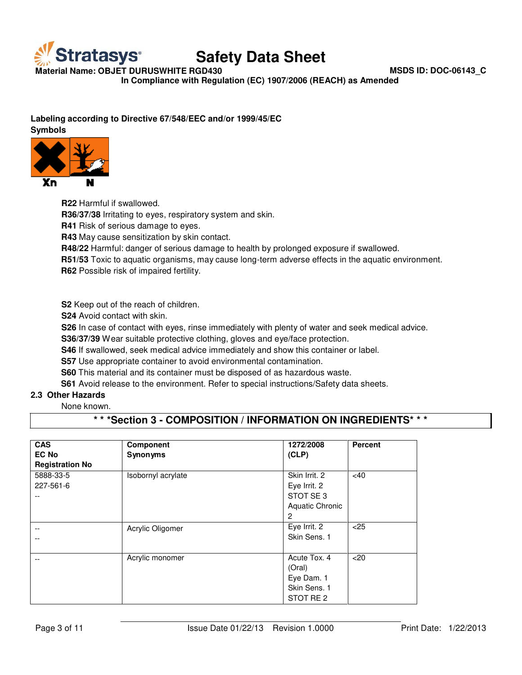

**Material Name: OBJET DURUSWHITE RGD430 MSDS ID: DOC-06143\_C**

**In Compliance with Regulation (EC) 1907/2006 (REACH) as Amended**

# **Labeling according to Directive 67/548/EEC and/or 1999/45/EC**

**Symbols**



**R22** Harmful if swallowed. **R36/37/38** Irritating to eyes, respiratory system and skin. **R41** Risk of serious damage to eyes.

**R43** May cause sensitization by skin contact.

**R48/22** Harmful: danger of serious damage to health by prolonged exposure if swallowed.

**R51/53** Toxic to aquatic organisms, may cause long-term adverse effects in the aquatic environment. **R62** Possible risk of impaired fertility.

**S2** Keep out of the reach of children.

**S24** Avoid contact with skin.

**S26** In case of contact with eyes, rinse immediately with plenty of water and seek medical advice.

**S36/37/39** Wear suitable protective clothing, gloves and eye/face protection.

**S46** If swallowed, seek medical advice immediately and show this container or label.

**S57** Use appropriate container to avoid environmental contamination.

**S60** This material and its container must be disposed of as hazardous waste.

**S61** Avoid release to the environment. Refer to special instructions/Safety data sheets.

# **2.3 Other Hazards**

None known.

# **\* \* \*Section 3 - COMPOSITION / INFORMATION ON INGREDIENTS\* \* \***

| <b>CAS</b>             | Component          | 1272/2008              | <b>Percent</b> |
|------------------------|--------------------|------------------------|----------------|
| <b>EC No</b>           | Synonyms           | (CLP)                  |                |
| <b>Registration No</b> |                    |                        |                |
| 5888-33-5              | Isobornyl acrylate | Skin Irrit. 2          | <40            |
| 227-561-6              |                    | Eye Irrit. 2           |                |
|                        |                    | STOT SE 3              |                |
|                        |                    | <b>Aquatic Chronic</b> |                |
|                        |                    | $\overline{c}$         |                |
| $-$                    | Acrylic Oligomer   | Eye Irrit. 2           | < 25           |
|                        |                    | Skin Sens. 1           |                |
|                        |                    |                        |                |
|                        | Acrylic monomer    | Acute Tox, 4           | $<$ 20         |
|                        |                    | (Oral)                 |                |
|                        |                    | Eye Dam. 1             |                |
|                        |                    | Skin Sens. 1           |                |
|                        |                    | STOT RE 2              |                |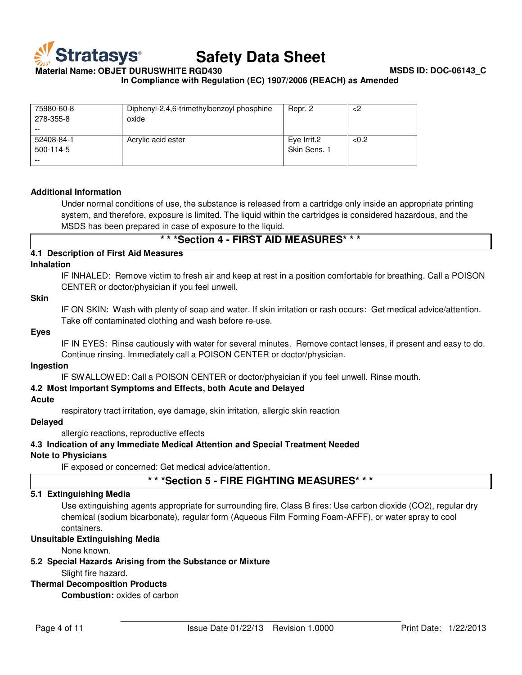

**Material Name: OBJET DURUSWHITE RGD430 MSDS ID: DOC-06143\_C**

**In Compliance with Regulation (EC) 1907/2006 (REACH) as Amended**

| 75980-60-8<br>278-355-8 | Diphenyl-2,4,6-trimethylbenzoyl phosphine<br>oxide | Repr. 2                     | 2>   |
|-------------------------|----------------------------------------------------|-----------------------------|------|
| 52408-84-1<br>500-114-5 | Acrylic acid ester                                 | Eye Irrit.2<br>Skin Sens. 1 | <0.2 |

#### **Additional Information**

Under normal conditions of use, the substance is released from a cartridge only inside an appropriate printing system, and therefore, exposure is limited. The liquid within the cartridges is considered hazardous, and the MSDS has been prepared in case of exposure to the liquid.

**\* \* \*Section 4 - FIRST AID MEASURES\* \* \***

### **4.1 Description of First Aid Measures**

#### **Inhalation**

IF INHALED: Remove victim to fresh air and keep at rest in a position comfortable for breathing. Call a POISON CENTER or doctor/physician if you feel unwell.

#### **Skin**

IF ON SKIN: Wash with plenty of soap and water. If skin irritation or rash occurs: Get medical advice/attention. Take off contaminated clothing and wash before re-use.

#### **Eyes**

IF IN EYES: Rinse cautiously with water for several minutes. Remove contact lenses, if present and easy to do. Continue rinsing. Immediately call a POISON CENTER or doctor/physician.

#### **Ingestion**

IF SWALLOWED: Call a POISON CENTER or doctor/physician if you feel unwell. Rinse mouth.

#### **4.2 Most Important Symptoms and Effects, both Acute and Delayed**

#### **Acute**

respiratory tract irritation, eye damage, skin irritation, allergic skin reaction

### **Delayed**

allergic reactions, reproductive effects

**4.3 Indication of any Immediate Medical Attention and Special Treatment Needed**

# **Note to Physicians**

IF exposed or concerned: Get medical advice/attention.

# **\* \* \*Section 5 - FIRE FIGHTING MEASURES\* \* \***

### **5.1 Extinguishing Media**

Use extinguishing agents appropriate for surrounding fire. Class B fires: Use carbon dioxide (CO2), regular dry chemical (sodium bicarbonate), regular form (Aqueous Film Forming Foam-AFFF), or water spray to cool containers.

#### **Unsuitable Extinguishing Media**

None known.

**5.2 Special Hazards Arising from the Substance or Mixture**

# Slight fire hazard.

# **Thermal Decomposition Products**

**Combustion:** oxides of carbon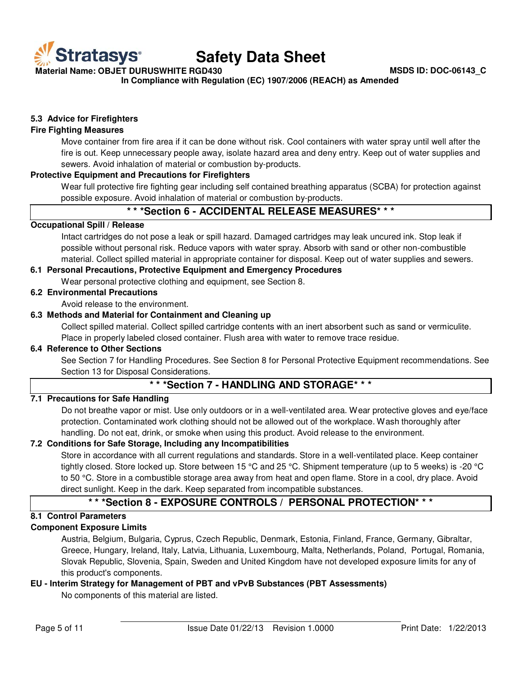

**Material Name: OBJET DURUSWHITE RGD430 MSDS ID: DOC-06143\_C**

**In Compliance with Regulation (EC) 1907/2006 (REACH) as Amended**

# **5.3 Advice for Firefighters**

# **Fire Fighting Measures**

Move container from fire area if it can be done without risk. Cool containers with water spray until well after the fire is out. Keep unnecessary people away, isolate hazard area and deny entry. Keep out of water supplies and sewers. Avoid inhalation of material or combustion by-products.

#### **Protective Equipment and Precautions for Firefighters**

Wear full protective fire fighting gear including self contained breathing apparatus (SCBA) for protection against possible exposure. Avoid inhalation of material or combustion by-products.

# **\* \* \*Section 6 - ACCIDENTAL RELEASE MEASURES\* \* \***

#### **Occupational Spill / Release**

Intact cartridges do not pose a leak or spill hazard. Damaged cartridges may leak uncured ink. Stop leak if possible without personal risk. Reduce vapors with water spray. Absorb with sand or other non-combustible material. Collect spilled material in appropriate container for disposal. Keep out of water supplies and sewers.

### **6.1 Personal Precautions, Protective Equipment and Emergency Procedures**

Wear personal protective clothing and equipment, see Section 8.

# **6.2 Environmental Precautions**

Avoid release to the environment.

#### **6.3 Methods and Material for Containment and Cleaning up**

Collect spilled material. Collect spilled cartridge contents with an inert absorbent such as sand or vermiculite. Place in properly labeled closed container. Flush area with water to remove trace residue.

#### **6.4 Reference to Other Sections**

See Section 7 for Handling Procedures. See Section 8 for Personal Protective Equipment recommendations. See Section 13 for Disposal Considerations.

# **\* \* \*Section 7 - HANDLING AND STORAGE\* \* \***

#### **7.1 Precautions for Safe Handling**

Do not breathe vapor or mist. Use only outdoors or in a well-ventilated area. Wear protective gloves and eye/face protection. Contaminated work clothing should not be allowed out of the workplace. Wash thoroughly after handling. Do not eat, drink, or smoke when using this product. Avoid release to the environment.

# **7.2 Conditions for Safe Storage, Including any Incompatibilities**

Store in accordance with all current regulations and standards. Store in a well-ventilated place. Keep container tightly closed. Store locked up. Store between 15 °C and 25 °C. Shipment temperature (up to 5 weeks) is -20 °C to 50 °C. Store in a combustible storage area away from heat and open flame. Store in a cool, dry place. Avoid direct sunlight. Keep in the dark. Keep separated from incompatible substances.

# **\* \* \*Section 8 - EXPOSURE CONTROLS / PERSONAL PROTECTION\* \* \***

# **8.1 Control Parameters**

# **Component Exposure Limits**

Austria, Belgium, Bulgaria, Cyprus, Czech Republic, Denmark, Estonia, Finland, France, Germany, Gibraltar, Greece, Hungary, Ireland, Italy, Latvia, Lithuania, Luxembourg, Malta, Netherlands, Poland, Portugal, Romania, Slovak Republic, Slovenia, Spain, Sweden and United Kingdom have not developed exposure limits for any of this product's components.

# **EU - Interim Strategy for Management of PBT and vPvB Substances (PBT Assessments)**

No components of this material are listed.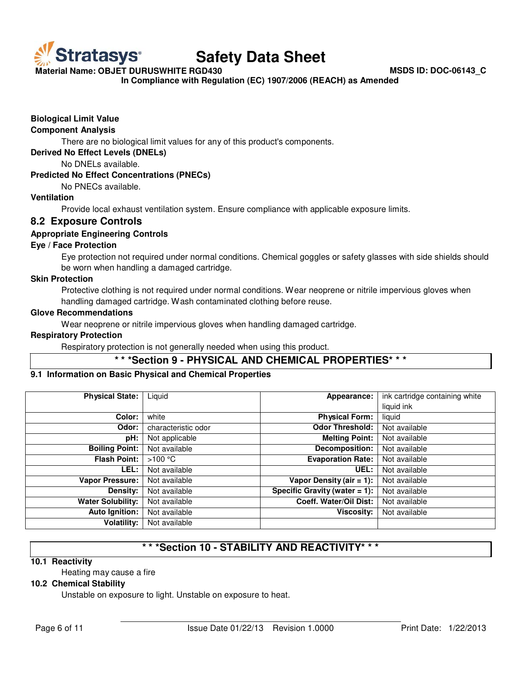

**Material Name: OBJET DURUSWHITE RGD430 MSDS ID: DOC-06143\_C**

**In Compliance with Regulation (EC) 1907/2006 (REACH) as Amended**

# **Biological Limit Value**

#### **Component Analysis**

There are no biological limit values for any of this product's components.

**Derived No Effect Levels (DNELs)**

No DNELs available.

#### **Predicted No Effect Concentrations (PNECs)**

No PNECs available.

# **Ventilation**

Provide local exhaust ventilation system. Ensure compliance with applicable exposure limits.

# **8.2 Exposure Controls**

# **Appropriate Engineering Controls**

#### **Eye / Face Protection**

Eye protection not required under normal conditions. Chemical goggles or safety glasses with side shields should be worn when handling a damaged cartridge.

#### **Skin Protection**

Protective clothing is not required under normal conditions. Wear neoprene or nitrile impervious gloves when handling damaged cartridge. Wash contaminated clothing before reuse.

# **Glove Recommendations**

Wear neoprene or nitrile impervious gloves when handling damaged cartridge.

#### **Respiratory Protection**

Respiratory protection is not generally needed when using this product.

# **\* \* \*Section 9 - PHYSICAL AND CHEMICAL PROPERTIES\* \* \***

#### **9.1 Information on Basic Physical and Chemical Properties**

| <b>Physical State:</b>   | Liquid              | Appearance:                      | ink cartridge containing white |
|--------------------------|---------------------|----------------------------------|--------------------------------|
|                          |                     |                                  | liquid ink                     |
| Color:                   | white               | <b>Physical Form:</b>            | liquid                         |
| Odor:                    | characteristic odor | Odor Threshold:                  | Not available                  |
| pH:                      | Not applicable      | <b>Melting Point:</b>            | Not available                  |
| <b>Boiling Point:</b>    | Not available       | Decomposition:                   | Not available                  |
| <b>Flash Point:</b>      | >100 °C             | <b>Evaporation Rate:</b>         | Not available                  |
| LEL:                     | Not available       | UEL:                             | Not available                  |
| <b>Vapor Pressure:</b>   | Not available       | Vapor Density (air $= 1$ ):      | Not available                  |
| Density:                 | Not available       | Specific Gravity (water $= 1$ ): | Not available                  |
| <b>Water Solubility:</b> | Not available       | Coeff. Water/Oil Dist:           | Not available                  |
| <b>Auto Ignition:</b>    | Not available       | <b>Viscosity:</b>                | Not available                  |
| <b>Volatility:</b>       | Not available       |                                  |                                |

# **\* \* \*Section 10 - STABILITY AND REACTIVITY\* \* \***

#### **10.1 Reactivity**

Heating may cause a fire

#### **10.2 Chemical Stability**

Unstable on exposure to light. Unstable on exposure to heat.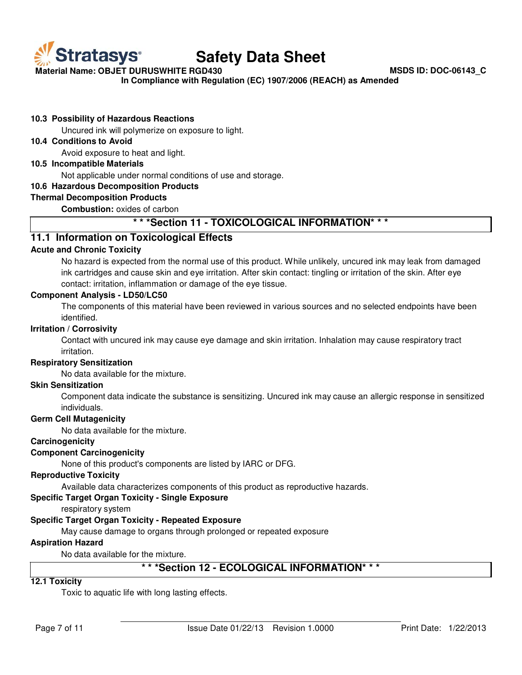

**Material Name: OBJET DURUSWHITE RGD430 MSDS ID: DOC-06143\_C**

**In Compliance with Regulation (EC) 1907/2006 (REACH) as Amended**

# **10.3 Possibility of Hazardous Reactions**

Uncured ink will polymerize on exposure to light.

### **10.4 Conditions to Avoid**

Avoid exposure to heat and light.

#### **10.5 Incompatible Materials**

Not applicable under normal conditions of use and storage.

#### **10.6 Hazardous Decomposition Products**

#### **Thermal Decomposition Products**

**Combustion:** oxides of carbon

# **\* \* \*Section 11 - TOXICOLOGICAL INFORMATION\* \* \***

# **11.1 Information on Toxicological Effects**

# **Acute and Chronic Toxicity**

No hazard is expected from the normal use of this product. While unlikely, uncured ink may leak from damaged ink cartridges and cause skin and eye irritation. After skin contact: tingling or irritation of the skin. After eye contact: irritation, inflammation or damage of the eye tissue.

#### **Component Analysis - LD50/LC50**

The components of this material have been reviewed in various sources and no selected endpoints have been identified.

#### **Irritation / Corrosivity**

Contact with uncured ink may cause eye damage and skin irritation. Inhalation may cause respiratory tract irritation.

#### **Respiratory Sensitization**

No data available for the mixture.

#### **Skin Sensitization**

Component data indicate the substance is sensitizing. Uncured ink may cause an allergic response in sensitized individuals.

#### **Germ Cell Mutagenicity**

No data available for the mixture.

### **Carcinogenicity**

# **Component Carcinogenicity**

None of this product's components are listed by IARC or DFG.

#### **Reproductive Toxicity**

Available data characterizes components of this product as reproductive hazards.

#### **Specific Target Organ Toxicity - Single Exposure**

respiratory system

# **Specific Target Organ Toxicity - Repeated Exposure**

May cause damage to organs through prolonged or repeated exposure

#### **Aspiration Hazard**

No data available for the mixture.

# **\* \* \*Section 12 - ECOLOGICAL INFORMATION\* \* \***

# **12.1 Toxicity**

Toxic to aquatic life with long lasting effects.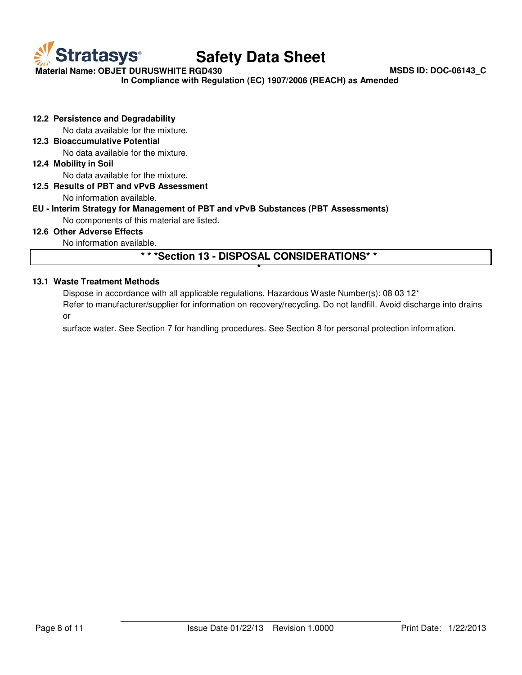

**Material Name: OBJET DURUSWHITE RGD430 MSDS ID: DOC-06143\_C**

**In Compliance with Regulation (EC) 1907/2006 (REACH) as Amended**

**12.2 Persistence and Degradability**

No data available for the mixture.

**12.3 Bioaccumulative Potential**

No data available for the mixture.

**12.4 Mobility in Soil**

No data available for the mixture.

# **12.5 Results of PBT and vPvB Assessment**

No information available.

# **EU - Interim Strategy for Management of PBT and vPvB Substances (PBT Assessments)**

No components of this material are listed.

### **12.6 Other Adverse Effects**

No information available.

# **\* \* \*Section 13 - DISPOSAL CONSIDERATIONS\* \* \***

# **13.1 Waste Treatment Methods**

Dispose in accordance with all applicable regulations. Hazardous Waste Number(s): 08 03 12<sup>\*</sup>

Refer to manufacturer/supplier for information on recovery/recycling. Do not landfill. Avoid discharge into drains or

surface water. See Section 7 for handling procedures. See Section 8 for personal protection information.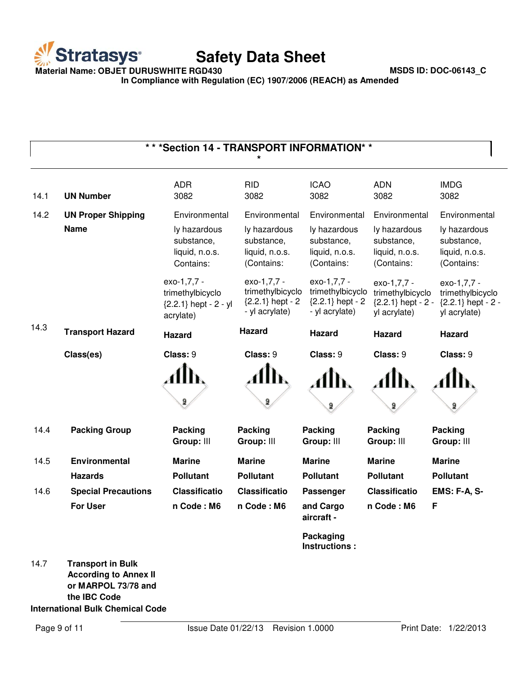

**Material Name: OBJET DURUSWHITE RGD430 MSDS ID: DOC-06143\_C**

**In Compliance with Regulation (EC) 1907/2006 (REACH) as Amended**

|      | *** Section 14 - TRANSPORT INFORMATION* *                                                       |                                                                         |                                                                         |                                                                         |                                                                         |                                                                         |
|------|-------------------------------------------------------------------------------------------------|-------------------------------------------------------------------------|-------------------------------------------------------------------------|-------------------------------------------------------------------------|-------------------------------------------------------------------------|-------------------------------------------------------------------------|
| 14.1 | <b>UN Number</b>                                                                                | <b>ADR</b><br>3082                                                      | <b>RID</b><br>3082                                                      | <b>ICAO</b><br>3082                                                     | <b>ADN</b><br>3082                                                      | <b>IMDG</b><br>3082                                                     |
| 14.2 | <b>UN Proper Shipping</b>                                                                       | Environmental                                                           | Environmental                                                           | Environmental                                                           | Environmental                                                           | Environmental                                                           |
|      | <b>Name</b>                                                                                     | ly hazardous<br>substance,<br>liquid, n.o.s.<br>Contains:               | ly hazardous<br>substance,<br>liquid, n.o.s.<br>(Contains:              | ly hazardous<br>substance,<br>liquid, n.o.s.<br>(Contains:              | ly hazardous<br>substance,<br>liquid, n.o.s.<br>(Contains:              | ly hazardous<br>substance,<br>liquid, n.o.s.<br>(Contains:              |
|      |                                                                                                 | exo-1,7,7 -<br>trimethylbicyclo<br>${2.2.1}$ hept - 2 - yl<br>acrylate) | exo-1,7,7 -<br>trimethylbicyclo<br>${2.2.1}$ hept - 2<br>- yl acrylate) | exo-1,7,7 -<br>trimethylbicyclo<br>${2.2.1}$ hept - 2<br>- yl acrylate) | exo-1,7,7 -<br>trimethylbicyclo<br>${2.2.1}$ hept - 2 -<br>yl acrylate) | exo-1,7,7 -<br>trimethylbicyclo<br>${2.2.1}$ hept - 2 -<br>yl acrylate) |
| 14.3 | <b>Transport Hazard</b>                                                                         | <b>Hazard</b>                                                           | <b>Hazard</b>                                                           | Hazard                                                                  | <b>Hazard</b>                                                           | <b>Hazard</b>                                                           |
|      | Class(es)                                                                                       | Class: 9                                                                | Class: 9                                                                | Class: 9                                                                | Class: 9                                                                | Class: 9                                                                |
|      |                                                                                                 |                                                                         |                                                                         |                                                                         |                                                                         |                                                                         |
|      |                                                                                                 | 9                                                                       | 9                                                                       | 2                                                                       | 2                                                                       | 9                                                                       |
| 14.4 | <b>Packing Group</b>                                                                            | <b>Packing</b><br>Group: III                                            | <b>Packing</b><br>Group: III                                            | Packing<br>Group: III                                                   | <b>Packing</b><br>Group: III                                            | Packing<br>Group: III                                                   |
| 14.5 | <b>Environmental</b>                                                                            | <b>Marine</b>                                                           | <b>Marine</b>                                                           | <b>Marine</b>                                                           | <b>Marine</b>                                                           | <b>Marine</b>                                                           |
|      | <b>Hazards</b>                                                                                  | <b>Pollutant</b>                                                        | <b>Pollutant</b>                                                        | <b>Pollutant</b>                                                        | <b>Pollutant</b>                                                        | <b>Pollutant</b>                                                        |
| 14.6 | <b>Special Precautions</b>                                                                      | <b>Classificatio</b>                                                    | <b>Classificatio</b>                                                    | Passenger                                                               | <b>Classificatio</b>                                                    | <b>EMS: F-A, S-</b>                                                     |
|      | <b>For User</b>                                                                                 | n Code: M6                                                              | n Code: M6                                                              | and Cargo<br>aircraft -                                                 | n Code: M6                                                              | F                                                                       |
|      |                                                                                                 |                                                                         |                                                                         | Packaging<br>Instructions:                                              |                                                                         |                                                                         |
| 14.7 | <b>Transport in Bulk</b><br><b>According to Annex II</b><br>or MARPOL 73/78 and<br>the IBC Code |                                                                         |                                                                         |                                                                         |                                                                         |                                                                         |

**International Bulk Chemical Code**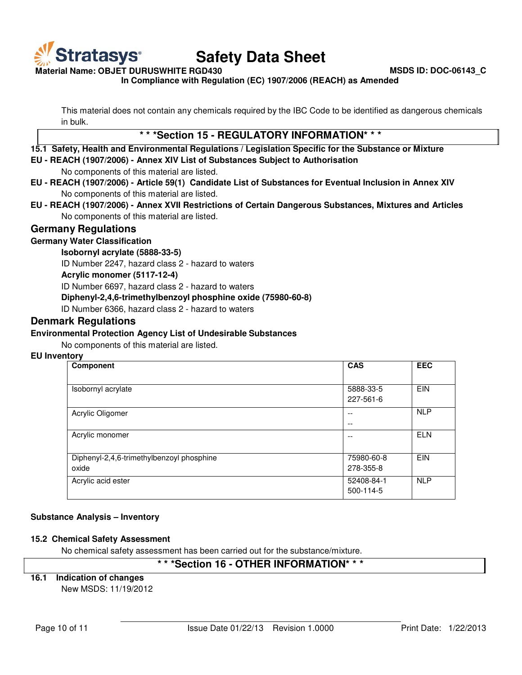

**Material Name: OBJET DURUSWHITE RGD430 MSDS ID: DOC-06143\_C**

**In Compliance with Regulation (EC) 1907/2006 (REACH) as Amended**

This material does not contain any chemicals required by the IBC Code to be identified as dangerous chemicals in bulk.

# **\* \* \*Section 15 - REGULATORY INFORMATION\* \* \***

#### **15.1 Safety, Health and Environmental Regulations / Legislation Specific for the Substance or Mixture**

**EU - REACH (1907/2006) - Annex XIV List of Substances Subject to Authorisation**

No components of this material are listed.

- **EU REACH (1907/2006) Article 59(1) Candidate List of Substances for Eventual Inclusion in Annex XIV** No components of this material are listed.
- **EU REACH (1907/2006) Annex XVII Restrictions of Certain Dangerous Substances, Mixtures and Articles** No components of this material are listed.

# **Germany Regulations**

# **Germany Water Classification**

# **Isobornyl acrylate (5888-33-5)**

ID Number 2247, hazard class 2 - hazard to waters

#### **Acrylic monomer (5117-12-4)**

ID Number 6697, hazard class 2 - hazard to waters

#### **Diphenyl-2,4,6-trimethylbenzoyl phosphine oxide (75980-60-8)**

ID Number 6366, hazard class 2 - hazard to waters

# **Denmark Regulations**

#### **Environmental Protection Agency List of Undesirable Substances**

No components of this material are listed.

#### **EU Inventory**

| Component                                 | <b>CAS</b> | <b>EEC</b> |
|-------------------------------------------|------------|------------|
|                                           |            |            |
| Isobornyl acrylate                        | 5888-33-5  | <b>EIN</b> |
|                                           | 227-561-6  |            |
| Acrylic Oligomer                          | $- -$      | <b>NLP</b> |
|                                           | $- -$      |            |
| Acrylic monomer                           | --         | <b>ELN</b> |
|                                           |            |            |
| Diphenyl-2,4,6-trimethylbenzoyl phosphine | 75980-60-8 | <b>EIN</b> |
| oxide                                     | 278-355-8  |            |
| Acrylic acid ester                        | 52408-84-1 | <b>NLP</b> |
|                                           | 500-114-5  |            |

# **Substance Analysis – Inventory**

# **15.2 Chemical Safety Assessment**

No chemical safety assessment has been carried out for the substance/mixture.

# **\* \* \*Section 16 - OTHER INFORMATION\* \* \***

# **16.1 Indication of changes**

New MSDS: 11/19/2012